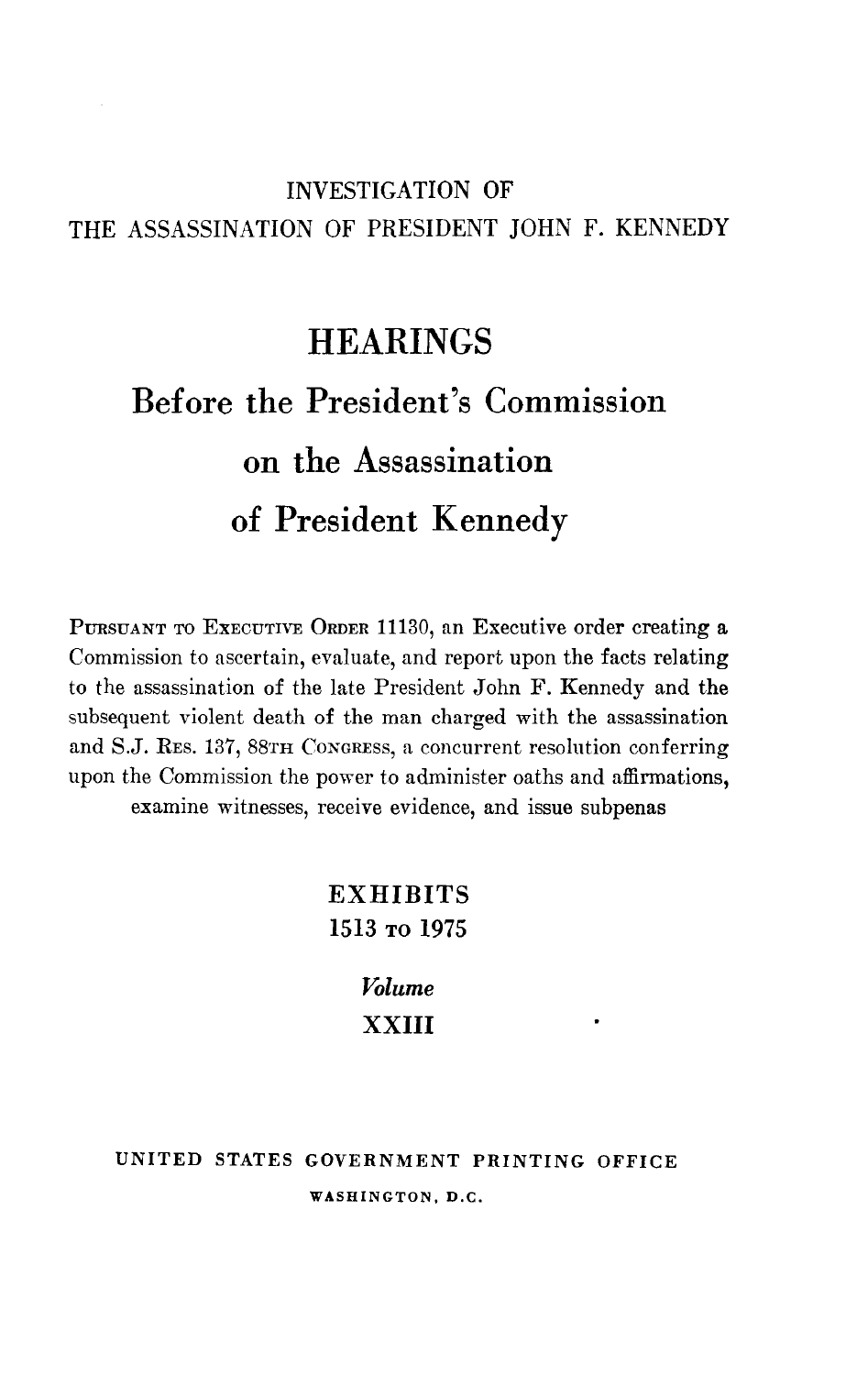## INVESTIGATION OF THE ASSASSINATION OF PRESIDENT JOHN F. KENNEDY

## **HEARINGS**

## Before the President's Commission on the Assassination of President Kennedy

PURSUANT TO EXECUTIVE ORDER 11130, an Executive order creating a Commission to ascertain, evaluate, and report upon the facts relating to the assassination of the late President John F. Kennedy and the subsequent violent death of the man charged with the assassination and S.J. RES. 137, 88TH CONGREss, a concurrent resolution conferring upon the Commission the power to administer oaths and affirmations, examine witnesses, receive evidence, and issue subpenas

> **EXHIBITS** 1513 TO 1975

> > Volume XXIII

UNITED STATES GOVERNMENT PRINTING OFFICE WASHINGTON, D.C.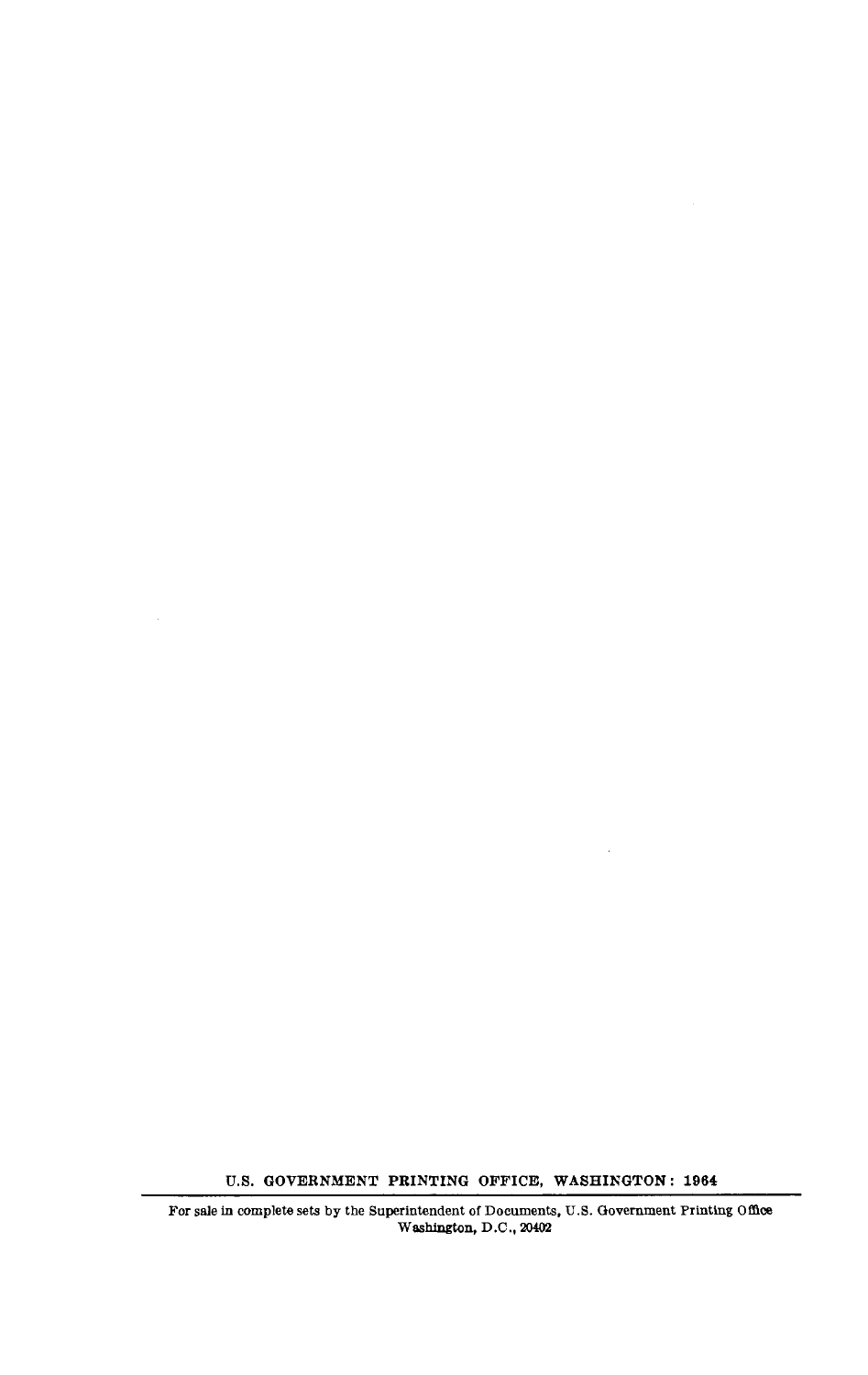U.S. GOVERNMENT PRINTING OFFICE, WASHINGTON : 1964

For sale in complete sets by the Superintendent of Documents, U.S . Government Printing Office Washington, D .C ., <sup>20402</sup>